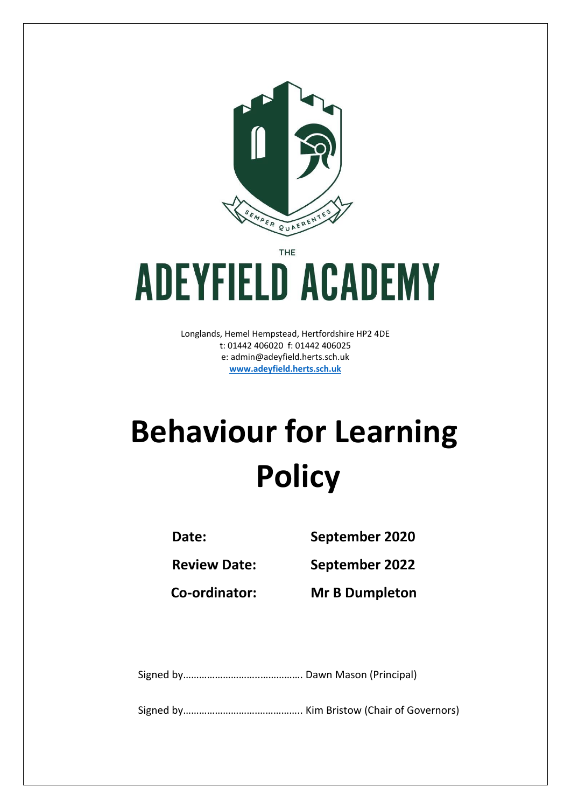

THE

# **ADEYFIELD ACADEMY**

Longlands, Hemel Hempstead, Hertfordshire HP2 4DE t: 01442 406020 f: 01442 406025 e: [admin@adeyfield.herts.sch.uk](mailto:admin@adeyfield.herts.sch.uk) **[www.adeyfield.herts.sch.uk](http://www.adeyfield.herts.sch.uk/)**

# **Behaviour for Learning Policy**

**Date: September 2020**

**Review Date: September 2022**

**Co-ordinator: Mr B Dumpleton**

Signed by………………………..……………. Dawn Mason (Principal)

Signed by……………………….…………….. Kim Bristow (Chair of Governors)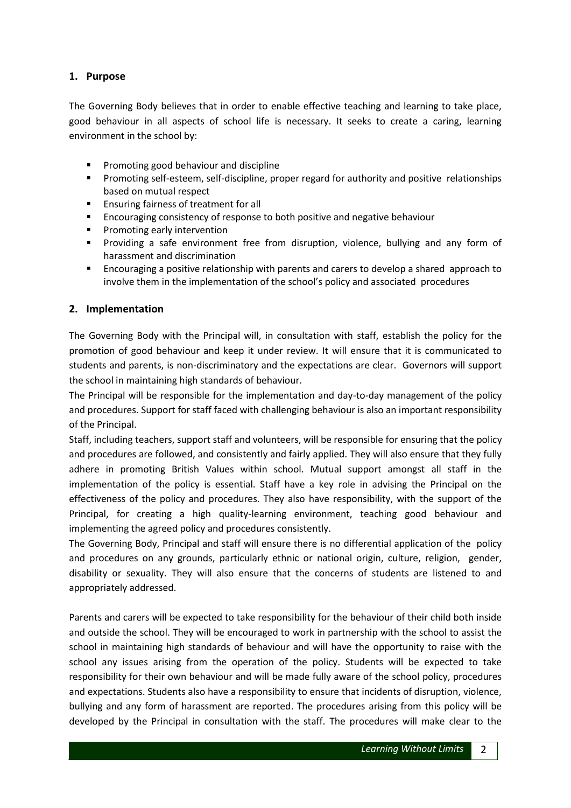# **1. Purpose**

The Governing Body believes that in order to enable effective teaching and learning to take place, good behaviour in all aspects of school life is necessary. It seeks to create a caring, learning environment in the school by:

- **Promoting good behaviour and discipline**
- Promoting self-esteem, self-discipline, proper regard for authority and positive relationships based on mutual respect
- **Ensuring fairness of treatment for all**
- Encouraging consistency of response to both positive and negative behaviour
- Promoting early intervention
- Providing a safe environment free from disruption, violence, bullying and any form of harassment and discrimination
- Encouraging a positive relationship with parents and carers to develop a shared approach to involve them in the implementation of the school's policy and associated procedures

#### **2. Implementation**

The Governing Body with the Principal will, in consultation with staff, establish the policy for the promotion of good behaviour and keep it under review. It will ensure that it is communicated to students and parents, is non-discriminatory and the expectations are clear. Governors will support the school in maintaining high standards of behaviour.

The Principal will be responsible for the implementation and day-to-day management of the policy and procedures. Support for staff faced with challenging behaviour is also an important responsibility of the Principal.

Staff, including teachers, support staff and volunteers, will be responsible for ensuring that the policy and procedures are followed, and consistently and fairly applied. They will also ensure that they fully adhere in promoting British Values within school. Mutual support amongst all staff in the implementation of the policy is essential. Staff have a key role in advising the Principal on the effectiveness of the policy and procedures. They also have responsibility, with the support of the Principal, for creating a high quality-learning environment, teaching good behaviour and implementing the agreed policy and procedures consistently.

The Governing Body, Principal and staff will ensure there is no differential application of the policy and procedures on any grounds, particularly ethnic or national origin, culture, religion, gender, disability or sexuality. They will also ensure that the concerns of students are listened to and appropriately addressed.

Parents and carers will be expected to take responsibility for the behaviour of their child both inside and outside the school. They will be encouraged to work in partnership with the school to assist the school in maintaining high standards of behaviour and will have the opportunity to raise with the school any issues arising from the operation of the policy. Students will be expected to take responsibility for their own behaviour and will be made fully aware of the school policy, procedures and expectations. Students also have a responsibility to ensure that incidents of disruption, violence, bullying and any form of harassment are reported. The procedures arising from this policy will be developed by the Principal in consultation with the staff. The procedures will make clear to the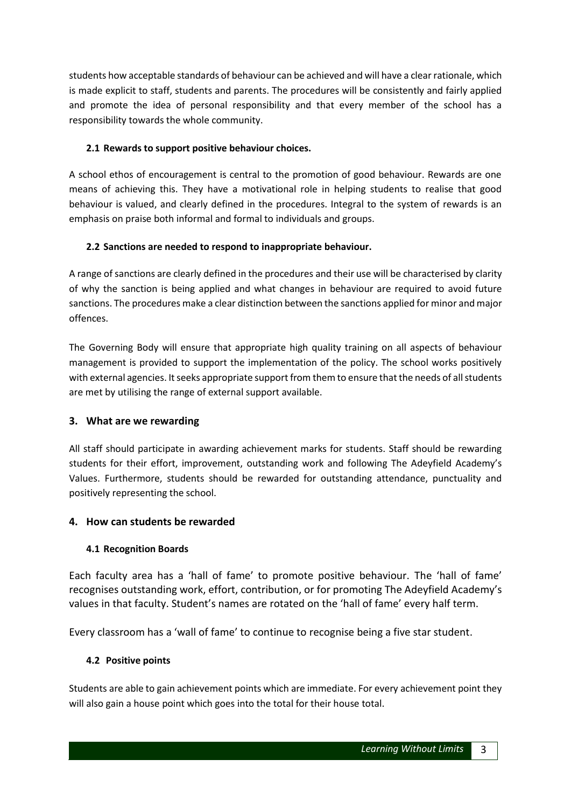students how acceptable standards of behaviour can be achieved and will have a clear rationale, which is made explicit to staff, students and parents. The procedures will be consistently and fairly applied and promote the idea of personal responsibility and that every member of the school has a responsibility towards the whole community.

# **2.1 Rewards to support positive behaviour choices.**

A school ethos of encouragement is central to the promotion of good behaviour. Rewards are one means of achieving this. They have a motivational role in helping students to realise that good behaviour is valued, and clearly defined in the procedures. Integral to the system of rewards is an emphasis on praise both informal and formal to individuals and groups.

# **2.2 Sanctions are needed to respond to inappropriate behaviour.**

A range of sanctions are clearly defined in the procedures and their use will be characterised by clarity of why the sanction is being applied and what changes in behaviour are required to avoid future sanctions. The procedures make a clear distinction between the sanctions applied for minor and major offences.

The Governing Body will ensure that appropriate high quality training on all aspects of behaviour management is provided to support the implementation of the policy. The school works positively with external agencies. It seeks appropriate support from them to ensure that the needs of all students are met by utilising the range of external support available.

# **3. What are we rewarding**

All staff should participate in awarding achievement marks for students. Staff should be rewarding students for their effort, improvement, outstanding work and following The Adeyfield Academy's Values. Furthermore, students should be rewarded for outstanding attendance, punctuality and positively representing the school.

# **4. How can students be rewarded**

# **4.1 Recognition Boards**

Each faculty area has a 'hall of fame' to promote positive behaviour. The 'hall of fame' recognises outstanding work, effort, contribution, or for promoting The Adeyfield Academy's values in that faculty. Student's names are rotated on the 'hall of fame' every half term.

Every classroom has a 'wall of fame' to continue to recognise being a five star student.

# **4.2 Positive points**

Students are able to gain achievement points which are immediate. For every achievement point they will also gain a house point which goes into the total for their house total.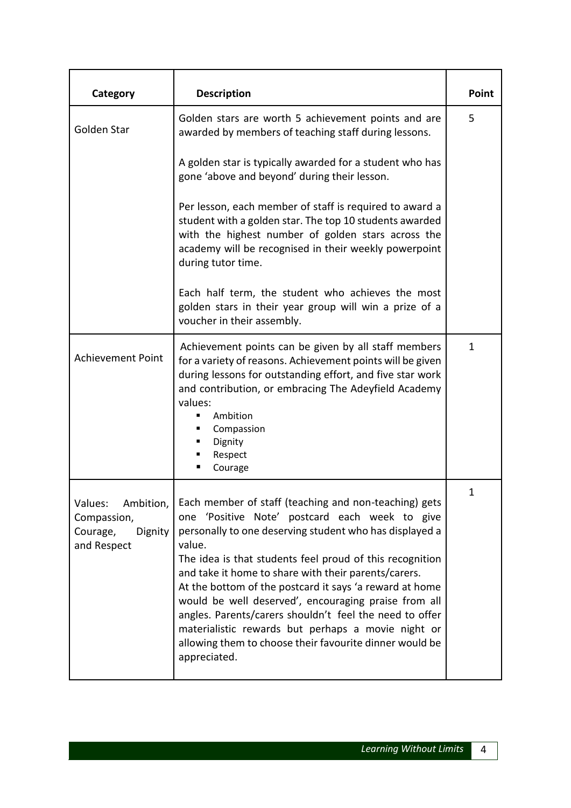| Category                                                                  | <b>Description</b>                                                                                                                                                                                                                                                                                                                                                                                                                                                                                                                                                                                                 | Point        |
|---------------------------------------------------------------------------|--------------------------------------------------------------------------------------------------------------------------------------------------------------------------------------------------------------------------------------------------------------------------------------------------------------------------------------------------------------------------------------------------------------------------------------------------------------------------------------------------------------------------------------------------------------------------------------------------------------------|--------------|
| Golden Star                                                               | Golden stars are worth 5 achievement points and are<br>awarded by members of teaching staff during lessons.                                                                                                                                                                                                                                                                                                                                                                                                                                                                                                        | 5            |
|                                                                           | A golden star is typically awarded for a student who has<br>gone 'above and beyond' during their lesson.                                                                                                                                                                                                                                                                                                                                                                                                                                                                                                           |              |
|                                                                           | Per lesson, each member of staff is required to award a<br>student with a golden star. The top 10 students awarded<br>with the highest number of golden stars across the<br>academy will be recognised in their weekly powerpoint<br>during tutor time.                                                                                                                                                                                                                                                                                                                                                            |              |
|                                                                           | Each half term, the student who achieves the most<br>golden stars in their year group will win a prize of a<br>voucher in their assembly.                                                                                                                                                                                                                                                                                                                                                                                                                                                                          |              |
| <b>Achievement Point</b>                                                  | Achievement points can be given by all staff members<br>for a variety of reasons. Achievement points will be given<br>during lessons for outstanding effort, and five star work<br>and contribution, or embracing The Adeyfield Academy<br>values:<br>Ambition<br>п<br>Compassion<br>Dignity<br>Respect<br>Courage                                                                                                                                                                                                                                                                                                 | $\mathbf{1}$ |
| Values:<br>Ambition,<br>Compassion,<br>Courage,<br>Dignity<br>and Respect | Each member of staff (teaching and non-teaching) gets<br>'Positive Note' postcard each week to give<br>one<br>personally to one deserving student who has displayed a<br>value.<br>The idea is that students feel proud of this recognition<br>and take it home to share with their parents/carers.<br>At the bottom of the postcard it says 'a reward at home<br>would be well deserved', encouraging praise from all<br>angles. Parents/carers shouldn't feel the need to offer<br>materialistic rewards but perhaps a movie night or<br>allowing them to choose their favourite dinner would be<br>appreciated. | 1            |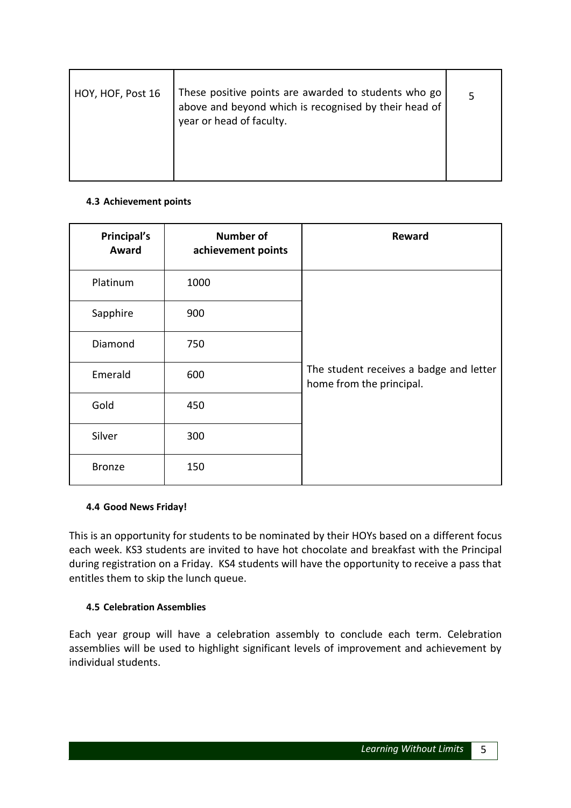| HOY, HOF, Post 16 | These positive points are awarded to students who go<br>above and beyond which is recognised by their head of<br>year or head of faculty. |  |
|-------------------|-------------------------------------------------------------------------------------------------------------------------------------------|--|
|                   |                                                                                                                                           |  |

# **4.3 Achievement points**

| Principal's<br>Award | Number of<br>achievement points | <b>Reward</b>                                                       |
|----------------------|---------------------------------|---------------------------------------------------------------------|
| Platinum             | 1000                            |                                                                     |
| Sapphire             | 900                             |                                                                     |
| Diamond              | 750                             |                                                                     |
| Emerald              | 600                             | The student receives a badge and letter<br>home from the principal. |
| Gold                 | 450                             |                                                                     |
| Silver               | 300                             |                                                                     |
| <b>Bronze</b>        | 150                             |                                                                     |

# **4.4 Good News Friday!**

This is an opportunity for students to be nominated by their HOYs based on a different focus each week. KS3 students are invited to have hot chocolate and breakfast with the Principal during registration on a Friday. KS4 students will have the opportunity to receive a pass that entitles them to skip the lunch queue.

# **4.5 Celebration Assemblies**

Each year group will have a celebration assembly to conclude each term. Celebration assemblies will be used to highlight significant levels of improvement and achievement by individual students.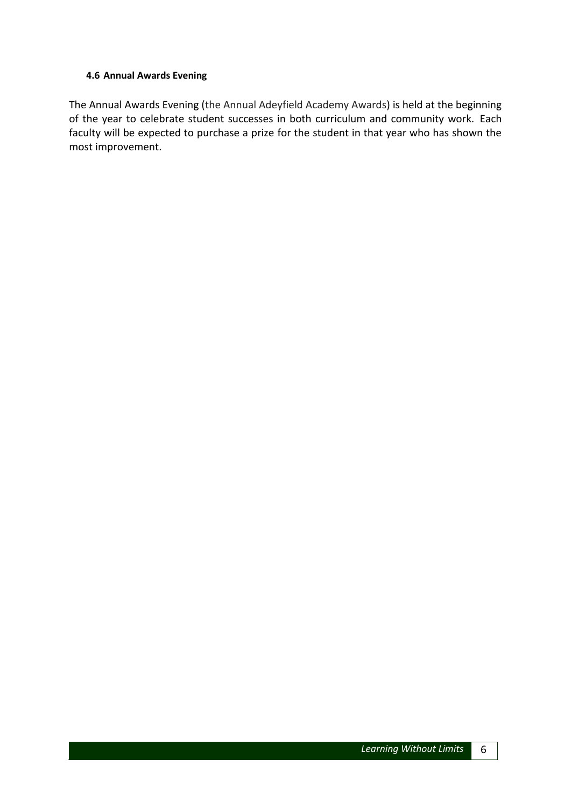#### **4.6 Annual Awards Evening**

The Annual Awards Evening (the Annual Adeyfield Academy Awards) is held at the beginning of the year to celebrate student successes in both curriculum and community work. Each faculty will be expected to purchase a prize for the student in that year who has shown the most improvement.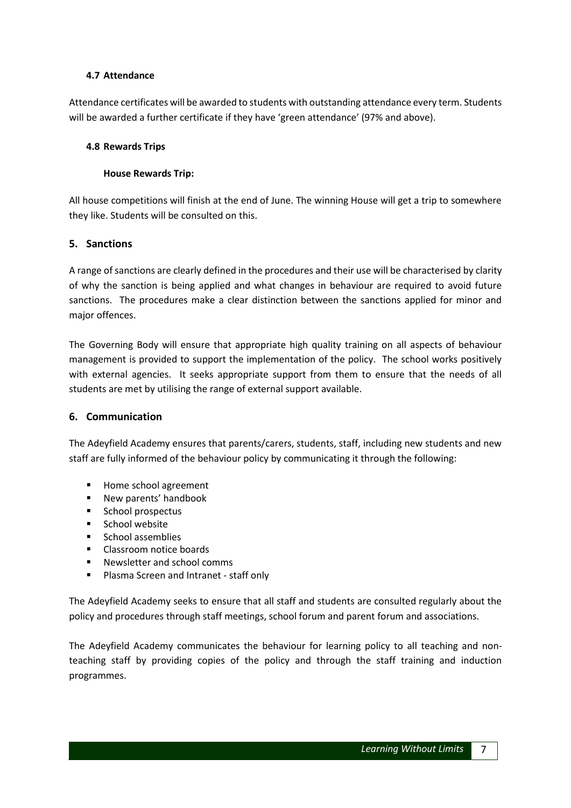#### **4.7 Attendance**

Attendance certificates will be awarded to students with outstanding attendance every term. Students will be awarded a further certificate if they have 'green attendance' (97% and above).

#### **4.8 Rewards Trips**

#### **House Rewards Trip:**

All house competitions will finish at the end of June. The winning House will get a trip to somewhere they like. Students will be consulted on this.

#### **5. Sanctions**

A range of sanctions are clearly defined in the procedures and their use will be characterised by clarity of why the sanction is being applied and what changes in behaviour are required to avoid future sanctions. The procedures make a clear distinction between the sanctions applied for minor and major offences.

The Governing Body will ensure that appropriate high quality training on all aspects of behaviour management is provided to support the implementation of the policy. The school works positively with external agencies. It seeks appropriate support from them to ensure that the needs of all students are met by utilising the range of external support available.

#### **6. Communication**

The Adeyfield Academy ensures that parents/carers, students, staff, including new students and new staff are fully informed of the behaviour policy by communicating it through the following:

- Home school agreement
- **New parents' handbook**
- **School prospectus**
- **School website**
- **School assemblies**
- Classroom notice boards
- Newsletter and school comms
- **Plasma Screen and Intranet staff only**

The Adeyfield Academy seeks to ensure that all staff and students are consulted regularly about the policy and procedures through staff meetings, school forum and parent forum and associations.

The Adeyfield Academy communicates the behaviour for learning policy to all teaching and nonteaching staff by providing copies of the policy and through the staff training and induction programmes.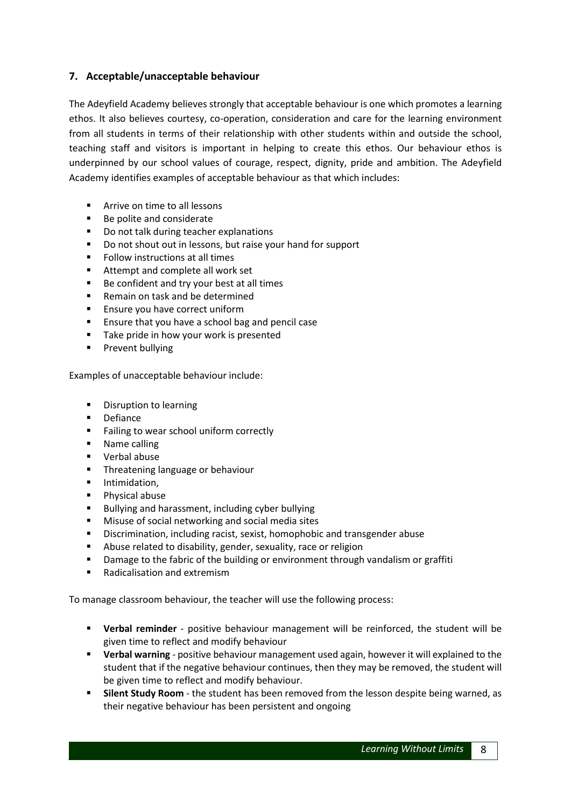# **7. Acceptable/unacceptable behaviour**

The Adeyfield Academy believes strongly that acceptable behaviour is one which promotes a learning ethos. It also believes courtesy, co-operation, consideration and care for the learning environment from all students in terms of their relationship with other students within and outside the school, teaching staff and visitors is important in helping to create this ethos. Our behaviour ethos is underpinned by our school values of courage, respect, dignity, pride and ambition. The Adeyfield Academy identifies examples of acceptable behaviour as that which includes:

- **EXTENUE ON THE COOL PROTE**
- Be polite and considerate
- Do not talk during teacher explanations
- Do not shout out in lessons, but raise your hand for support
- **Follow instructions at all times**
- Attempt and complete all work set
- Be confident and try your best at all times
- Remain on task and be determined
- **Ensure you have correct uniform**
- **Ensure that you have a school bag and pencil case**
- Take pride in how your work is presented
- **Prevent bullying**

Examples of unacceptable behaviour include:

- **•** Disruption to learning
- **•** Defiance
- Failing to wear school uniform correctly
- **Name calling**
- Verbal abuse
- **Threatening language or behaviour**
- **F** Intimidation.
- **Physical abuse**
- Bullying and harassment, including cyber bullying
- **Misuse of social networking and social media sites**
- **Discrimination, including racist, sexist, homophobic and transgender abuse**
- Abuse related to disability, gender, sexuality, race or religion
- **•** Damage to the fabric of the building or environment through vandalism or graffiti
- Radicalisation and extremism

To manage classroom behaviour, the teacher will use the following process:

- **Verbal reminder** positive behaviour management will be reinforced, the student will be given time to reflect and modify behaviour
- **Verbal warning** positive behaviour management used again, however it will explained to the student that if the negative behaviour continues, then they may be removed, the student will be given time to reflect and modify behaviour.
- **Silent Study Room** the student has been removed from the lesson despite being warned, as their negative behaviour has been persistent and ongoing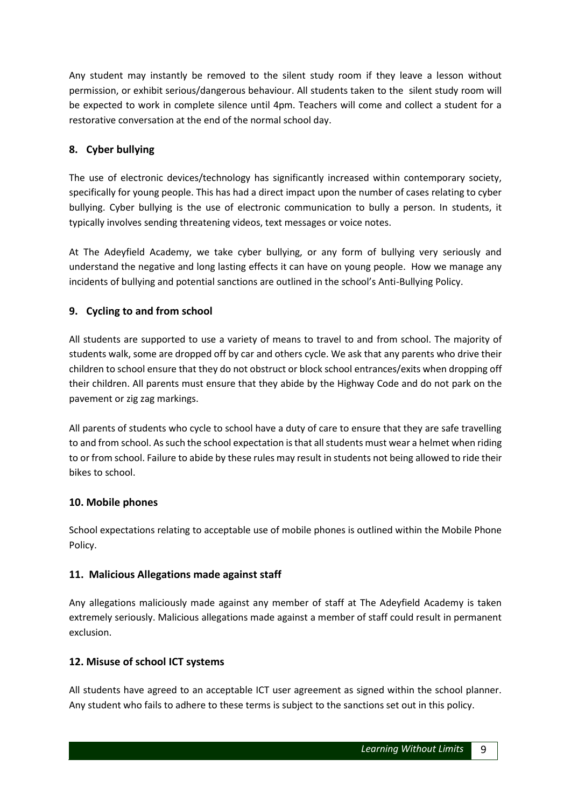Any student may instantly be removed to the silent study room if they leave a lesson without permission, or exhibit serious/dangerous behaviour. All students taken to the silent study room will be expected to work in complete silence until 4pm. Teachers will come and collect a student for a restorative conversation at the end of the normal school day.

# **8. Cyber bullying**

The use of electronic devices/technology has significantly increased within contemporary society, specifically for young people. This has had a direct impact upon the number of cases relating to cyber bullying. Cyber bullying is the use of electronic communication to bully a person. In students, it typically involves sending threatening videos, text messages or voice notes.

At The Adeyfield Academy, we take cyber bullying, or any form of bullying very seriously and understand the negative and long lasting effects it can have on young people. How we manage any incidents of bullying and potential sanctions are outlined in the school's Anti-Bullying Policy.

# **9. Cycling to and from school**

All students are supported to use a variety of means to travel to and from school. The majority of students walk, some are dropped off by car and others cycle. We ask that any parents who drive their children to school ensure that they do not obstruct or block school entrances/exits when dropping off their children. All parents must ensure that they abide by the Highway Code and do not park on the pavement or zig zag markings.

All parents of students who cycle to school have a duty of care to ensure that they are safe travelling to and from school. As such the school expectation is that all students must wear a helmet when riding to or from school. Failure to abide by these rules may result in students not being allowed to ride their bikes to school.

# **10. Mobile phones**

School expectations relating to acceptable use of mobile phones is outlined within the Mobile Phone Policy.

# **11. Malicious Allegations made against staff**

Any allegations maliciously made against any member of staff at The Adeyfield Academy is taken extremely seriously. Malicious allegations made against a member of staff could result in permanent exclusion.

# **12. Misuse of school ICT systems**

All students have agreed to an acceptable ICT user agreement as signed within the school planner. Any student who fails to adhere to these terms is subject to the sanctions set out in this policy.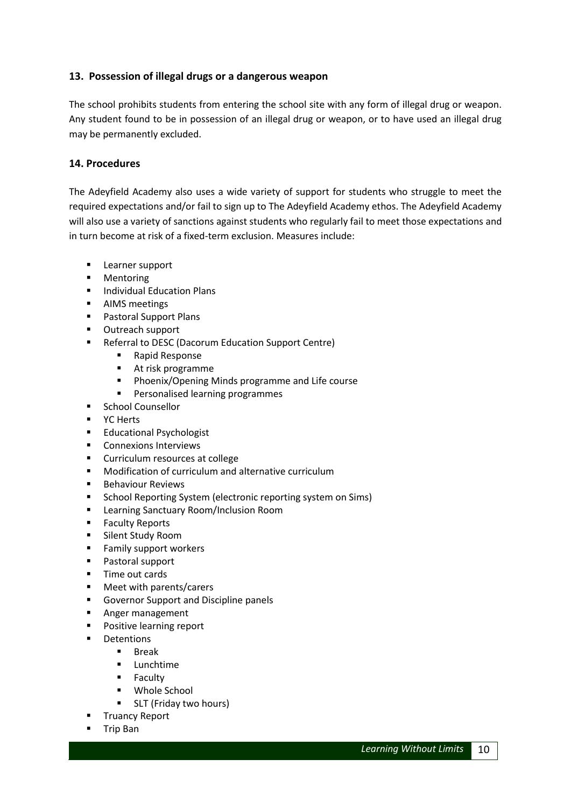# **13. Possession of illegal drugs or a dangerous weapon**

The school prohibits students from entering the school site with any form of illegal drug or weapon. Any student found to be in possession of an illegal drug or weapon, or to have used an illegal drug may be permanently excluded.

# **14. Procedures**

The Adeyfield Academy also uses a wide variety of support for students who struggle to meet the required expectations and/or fail to sign up to The Adeyfield Academy ethos. The Adeyfield Academy will also use a variety of sanctions against students who regularly fail to meet those expectations and in turn become at risk of a fixed-term exclusion. Measures include:

- **Learner support**
- **Mentoring**
- **Individual Education Plans**
- **AIMS** meetings
- **Pastoral Support Plans**
- **•** Outreach support
- **Referral to DESC (Dacorum Education Support Centre)** 
	- Rapid Response
	- At risk programme
	- **Phoenix/Opening Minds programme and Life course**
	- **Personalised learning programmes**
- **E** School Counsellor
- **P** YC Herts
- **Educational Psychologist**
- **Connexions Interviews**
- **EXECUTE:** Curriculum resources at college
- **Modification of curriculum and alternative curriculum**
- **Behaviour Reviews**
- **E** School Reporting System (electronic reporting system on Sims)
- **E** Learning Sanctuary Room/Inclusion Room
- **Faculty Reports**
- **Silent Study Room**
- **Family support workers**
- **Pastoral support**
- **Time out cards**
- Meet with parents/carers
- Governor Support and Discipline panels
- **Anger management**
- **Positive learning report**
- **•** Detentions
	- Break
		- **-** Lunchtime
		- **Faculty**
		- Whole School
		- **SLT** (Friday two hours)
- Truancy Report
- **Trip Ban**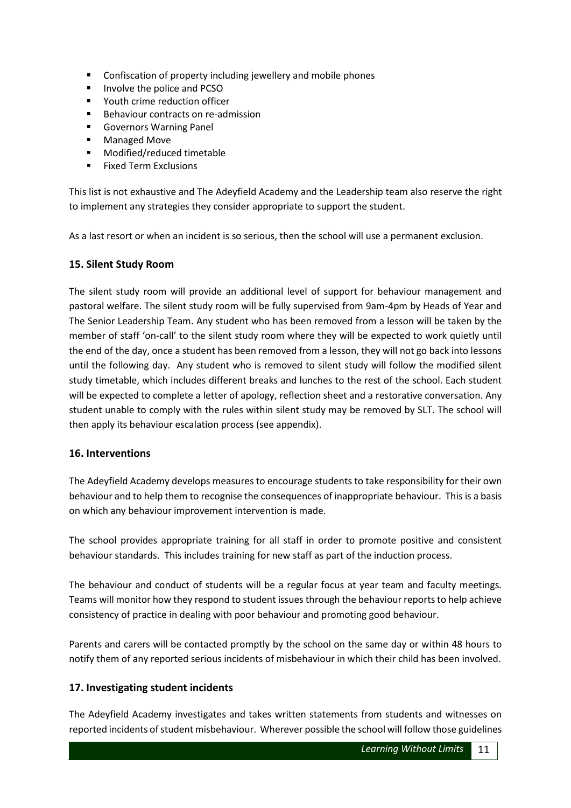- Confiscation of property including jewellery and mobile phones
- **IDUATE:** Involve the police and PCSO
- Youth crime reduction officer
- **Behaviour contracts on re-admission**
- **Governors Warning Panel**
- **Managed Move**
- Modified/reduced timetable
- $F =$ Fixed Term Exclusions

This list is not exhaustive and The Adeyfield Academy and the Leadership team also reserve the right to implement any strategies they consider appropriate to support the student.

As a last resort or when an incident is so serious, then the school will use a permanent exclusion.

# **15. Silent Study Room**

The silent study room will provide an additional level of support for behaviour management and pastoral welfare. The silent study room will be fully supervised from 9am-4pm by Heads of Year and The Senior Leadership Team. Any student who has been removed from a lesson will be taken by the member of staff 'on-call' to the silent study room where they will be expected to work quietly until the end of the day, once a student has been removed from a lesson, they will not go back into lessons until the following day. Any student who is removed to silent study will follow the modified silent study timetable, which includes different breaks and lunches to the rest of the school. Each student will be expected to complete a letter of apology, reflection sheet and a restorative conversation. Any student unable to comply with the rules within silent study may be removed by SLT. The school will then apply its behaviour escalation process (see appendix).

# **16. Interventions**

The Adeyfield Academy develops measures to encourage students to take responsibility for their own behaviour and to help them to recognise the consequences of inappropriate behaviour. This is a basis on which any behaviour improvement intervention is made.

The school provides appropriate training for all staff in order to promote positive and consistent behaviour standards. This includes training for new staff as part of the induction process.

The behaviour and conduct of students will be a regular focus at year team and faculty meetings. Teams will monitor how they respond to student issues through the behaviour reports to help achieve consistency of practice in dealing with poor behaviour and promoting good behaviour.

Parents and carers will be contacted promptly by the school on the same day or within 48 hours to notify them of any reported serious incidents of misbehaviour in which their child has been involved.

# **17. Investigating student incidents**

The Adeyfield Academy investigates and takes written statements from students and witnesses on reported incidents of student misbehaviour. Wherever possible the school will follow those guidelines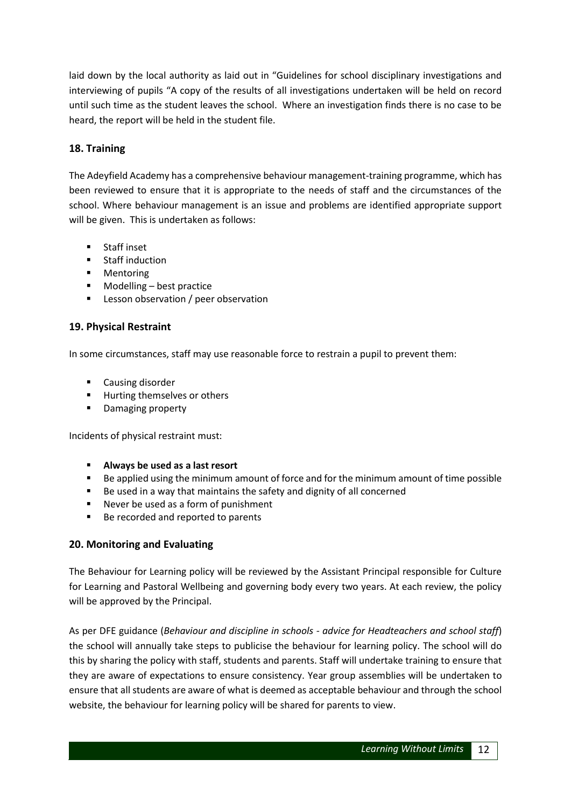laid down by the local authority as laid out in "Guidelines for school disciplinary investigations and interviewing of pupils "A copy of the results of all investigations undertaken will be held on record until such time as the student leaves the school. Where an investigation finds there is no case to be heard, the report will be held in the student file.

# **18. Training**

The Adeyfield Academy has a comprehensive behaviour management-training programme, which has been reviewed to ensure that it is appropriate to the needs of staff and the circumstances of the school. Where behaviour management is an issue and problems are identified appropriate support will be given. This is undertaken as follows:

- **E** Staff inset
- **E** Staff induction
- **•** Mentoring
- Modelling best practice
- **EXEC** Lesson observation / peer observation

# **19. Physical Restraint**

In some circumstances, staff may use reasonable force to restrain a pupil to prevent them:

- **E** Causing disorder
- **Hurting themselves or others**
- **•** Damaging property

Incidents of physical restraint must:

- **Always be used as a last resort**
- Be applied using the minimum amount of force and for the minimum amount of time possible
- Be used in a way that maintains the safety and dignity of all concerned
- Never be used as a form of punishment
- Be recorded and reported to parents

# **20. Monitoring and Evaluating**

The Behaviour for Learning policy will be reviewed by the Assistant Principal responsible for Culture for Learning and Pastoral Wellbeing and governing body every two years. At each review, the policy will be approved by the Principal.

As per DFE guidance (*Behaviour and discipline in schools - advice for Headteachers and school staff*) the school will annually take steps to publicise the behaviour for learning policy. The school will do this by sharing the policy with staff, students and parents. Staff will undertake training to ensure that they are aware of expectations to ensure consistency. Year group assemblies will be undertaken to ensure that all students are aware of what is deemed as acceptable behaviour and through the school website, the behaviour for learning policy will be shared for parents to view.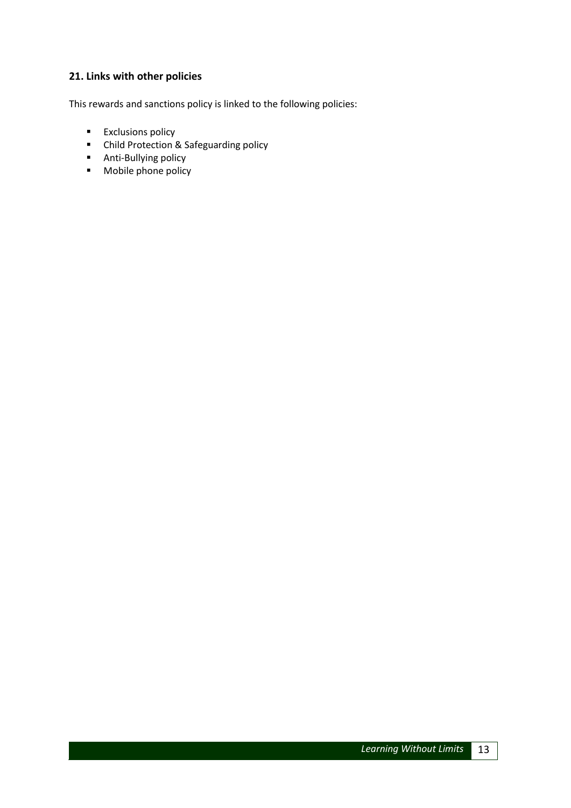# **21. Links with other policies**

This rewards and sanctions policy is linked to the following policies:

- **Exclusions policy**
- **E** Child Protection & Safeguarding policy
- **Anti-Bullying policy**
- **Mobile phone policy**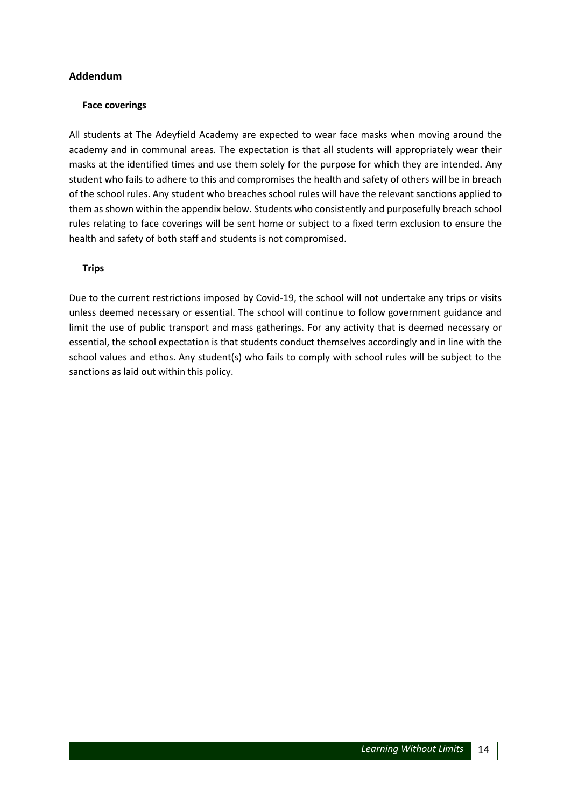#### **Addendum**

#### **Face coverings**

All students at The Adeyfield Academy are expected to wear face masks when moving around the academy and in communal areas. The expectation is that all students will appropriately wear their masks at the identified times and use them solely for the purpose for which they are intended. Any student who fails to adhere to this and compromises the health and safety of others will be in breach of the school rules. Any student who breaches school rules will have the relevant sanctions applied to them as shown within the appendix below. Students who consistently and purposefully breach school rules relating to face coverings will be sent home or subject to a fixed term exclusion to ensure the health and safety of both staff and students is not compromised.

#### **Trips**

Due to the current restrictions imposed by Covid-19, the school will not undertake any trips or visits unless deemed necessary or essential. The school will continue to follow government guidance and limit the use of public transport and mass gatherings. For any activity that is deemed necessary or essential, the school expectation is that students conduct themselves accordingly and in line with the school values and ethos. Any student(s) who fails to comply with school rules will be subject to the sanctions as laid out within this policy.